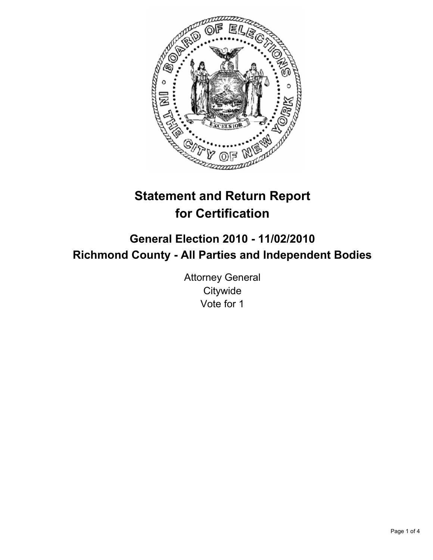

# **Statement and Return Report for Certification**

## **General Election 2010 - 11/02/2010 Richmond County - All Parties and Independent Bodies**

Attorney General **Citywide** Vote for 1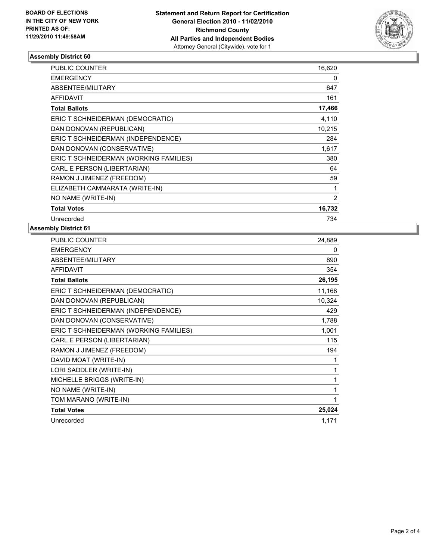

## **Assembly District 60**

| <b>PUBLIC COUNTER</b>                  | 16,620 |
|----------------------------------------|--------|
| <b>EMERGENCY</b>                       | 0      |
| ABSENTEE/MILITARY                      | 647    |
| <b>AFFIDAVIT</b>                       | 161    |
| <b>Total Ballots</b>                   | 17,466 |
| ERIC T SCHNEIDERMAN (DEMOCRATIC)       | 4,110  |
| DAN DONOVAN (REPUBLICAN)               | 10,215 |
| ERIC T SCHNEIDERMAN (INDEPENDENCE)     | 284    |
| DAN DONOVAN (CONSERVATIVE)             | 1,617  |
| ERIC T SCHNEIDERMAN (WORKING FAMILIES) | 380    |
| CARL E PERSON (LIBERTARIAN)            | 64     |
| RAMON J JIMENEZ (FREEDOM)              | 59     |
| ELIZABETH CAMMARATA (WRITE-IN)         | 1      |
| NO NAME (WRITE-IN)                     | 2      |
| <b>Total Votes</b>                     | 16,732 |
| Unrecorded                             | 734    |

## **Assembly District 61**

| 24,889 |
|--------|
| 0      |
| 890    |
| 354    |
| 26,195 |
| 11,168 |
| 10,324 |
| 429    |
| 1,788  |
| 1,001  |
| 115    |
| 194    |
| 1      |
| 1      |
| 1      |
| 1      |
| 1      |
| 25,024 |
| 1,171  |
|        |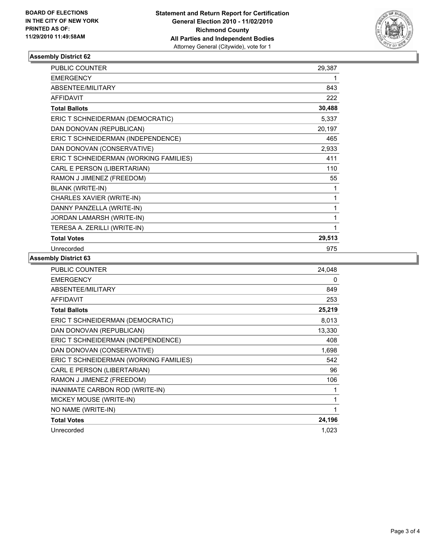

## **Assembly District 62**

| <b>PUBLIC COUNTER</b>                  | 29,387 |
|----------------------------------------|--------|
| <b>EMERGENCY</b>                       | 1      |
| ABSENTEE/MILITARY                      | 843    |
| <b>AFFIDAVIT</b>                       | 222    |
| <b>Total Ballots</b>                   | 30,488 |
| ERIC T SCHNEIDERMAN (DEMOCRATIC)       | 5,337  |
| DAN DONOVAN (REPUBLICAN)               | 20,197 |
| ERIC T SCHNEIDERMAN (INDEPENDENCE)     | 465    |
| DAN DONOVAN (CONSERVATIVE)             | 2,933  |
| ERIC T SCHNEIDERMAN (WORKING FAMILIES) | 411    |
| CARL E PERSON (LIBERTARIAN)            | 110    |
| RAMON J JIMENEZ (FREEDOM)              | 55     |
| <b>BLANK (WRITE-IN)</b>                | 1      |
| CHARLES XAVIER (WRITE-IN)              | 1      |
| DANNY PANZELLA (WRITE-IN)              | 1      |
| JORDAN LAMARSH (WRITE-IN)              | 1      |
| TERESA A. ZERILLI (WRITE-IN)           | 1      |
| <b>Total Votes</b>                     | 29,513 |
| Unrecorded                             | 975    |

### **Assembly District 63**

| <b>PUBLIC COUNTER</b>                  | 24,048 |
|----------------------------------------|--------|
| <b>EMERGENCY</b>                       | 0      |
| ABSENTEE/MILITARY                      | 849    |
| <b>AFFIDAVIT</b>                       | 253    |
| <b>Total Ballots</b>                   | 25,219 |
| ERIC T SCHNEIDERMAN (DEMOCRATIC)       | 8,013  |
| DAN DONOVAN (REPUBLICAN)               | 13,330 |
| ERIC T SCHNEIDERMAN (INDEPENDENCE)     | 408    |
| DAN DONOVAN (CONSERVATIVE)             | 1,698  |
| ERIC T SCHNEIDERMAN (WORKING FAMILIES) | 542    |
| CARL E PERSON (LIBERTARIAN)            | 96     |
| RAMON J JIMENEZ (FREEDOM)              | 106    |
| INANIMATE CARBON ROD (WRITE-IN)        | 1      |
| MICKEY MOUSE (WRITE-IN)                | 1      |
| NO NAME (WRITE-IN)                     | 1      |
| <b>Total Votes</b>                     | 24,196 |
| Unrecorded                             | 1,023  |